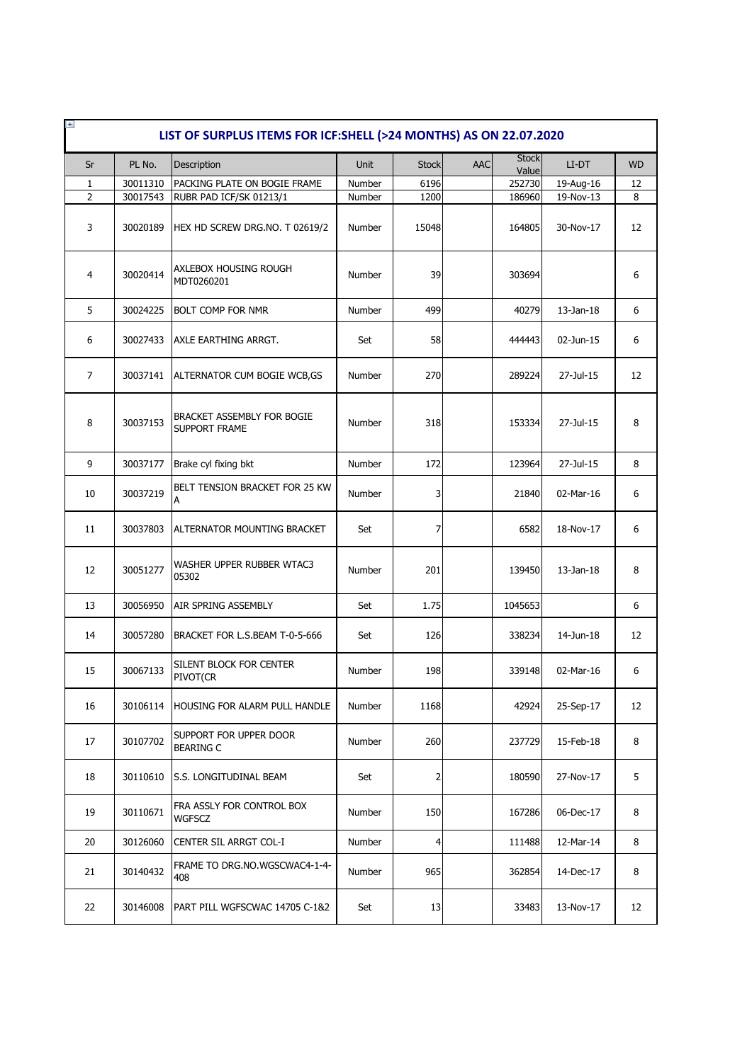| <b>Stock</b><br>PL No.<br>Unit<br><b>Stock</b><br><b>AAC</b><br>Sr<br>Description<br>LI-DT<br>Value<br>30011310<br>PACKING PLATE ON BOGIE FRAME<br>6196<br>252730<br>1<br>Number<br>19-Aug-16<br>$\overline{2}$<br>1200<br>19-Nov-13<br>30017543<br>RUBR PAD ICF/SK 01213/1<br>186960<br>Number<br>3<br>30020189<br>HEX HD SCREW DRG.NO. T 02619/2<br>Number<br>15048<br>164805<br>30-Nov-17<br>AXLEBOX HOUSING ROUGH<br>39<br>4<br>30020414<br>Number<br>303694<br>MDT0260201<br>5<br>499<br>30024225<br><b>BOLT COMP FOR NMR</b><br>Number<br>40279<br>$13$ -Jan- $18$<br>6<br>58<br>444443<br>30027433<br>AXLE EARTHING ARRGT.<br>Set<br>02-Jun-15<br>$\overline{7}$<br>270<br>289224<br>27-Jul-15<br>30037141<br>ALTERNATOR CUM BOGIE WCB, GS<br>Number<br>BRACKET ASSEMBLY FOR BOGIE<br>8<br>30037153<br>318<br>153334<br>27-Jul-15<br>Number<br><b>SUPPORT FRAME</b><br>9<br>30037177<br>Brake cyl fixing bkt<br>Number<br>172<br>123964<br>27-Jul-15<br>BELT TENSION BRACKET FOR 25 KW<br>10<br>30037219<br>Number<br>3<br>21840<br>02-Mar-16<br>А<br>7<br>11<br>6582<br>18-Nov-17<br>30037803<br>ALTERNATOR MOUNTING BRACKET<br>Set | $+$<br>LIST OF SURPLUS ITEMS FOR ICF: SHELL (>24 MONTHS) AS ON 22.07.2020 |  |  |  |  |  |  |  |  |  |  |  |
|---------------------------------------------------------------------------------------------------------------------------------------------------------------------------------------------------------------------------------------------------------------------------------------------------------------------------------------------------------------------------------------------------------------------------------------------------------------------------------------------------------------------------------------------------------------------------------------------------------------------------------------------------------------------------------------------------------------------------------------------------------------------------------------------------------------------------------------------------------------------------------------------------------------------------------------------------------------------------------------------------------------------------------------------------------------------------------------------------------------------------------------------|---------------------------------------------------------------------------|--|--|--|--|--|--|--|--|--|--|--|
|                                                                                                                                                                                                                                                                                                                                                                                                                                                                                                                                                                                                                                                                                                                                                                                                                                                                                                                                                                                                                                                                                                                                             | <b>WD</b>                                                                 |  |  |  |  |  |  |  |  |  |  |  |
|                                                                                                                                                                                                                                                                                                                                                                                                                                                                                                                                                                                                                                                                                                                                                                                                                                                                                                                                                                                                                                                                                                                                             | 12                                                                        |  |  |  |  |  |  |  |  |  |  |  |
|                                                                                                                                                                                                                                                                                                                                                                                                                                                                                                                                                                                                                                                                                                                                                                                                                                                                                                                                                                                                                                                                                                                                             | 8                                                                         |  |  |  |  |  |  |  |  |  |  |  |
|                                                                                                                                                                                                                                                                                                                                                                                                                                                                                                                                                                                                                                                                                                                                                                                                                                                                                                                                                                                                                                                                                                                                             | 12                                                                        |  |  |  |  |  |  |  |  |  |  |  |
|                                                                                                                                                                                                                                                                                                                                                                                                                                                                                                                                                                                                                                                                                                                                                                                                                                                                                                                                                                                                                                                                                                                                             | 6                                                                         |  |  |  |  |  |  |  |  |  |  |  |
|                                                                                                                                                                                                                                                                                                                                                                                                                                                                                                                                                                                                                                                                                                                                                                                                                                                                                                                                                                                                                                                                                                                                             | 6                                                                         |  |  |  |  |  |  |  |  |  |  |  |
|                                                                                                                                                                                                                                                                                                                                                                                                                                                                                                                                                                                                                                                                                                                                                                                                                                                                                                                                                                                                                                                                                                                                             | 6                                                                         |  |  |  |  |  |  |  |  |  |  |  |
|                                                                                                                                                                                                                                                                                                                                                                                                                                                                                                                                                                                                                                                                                                                                                                                                                                                                                                                                                                                                                                                                                                                                             | 12                                                                        |  |  |  |  |  |  |  |  |  |  |  |
|                                                                                                                                                                                                                                                                                                                                                                                                                                                                                                                                                                                                                                                                                                                                                                                                                                                                                                                                                                                                                                                                                                                                             | 8                                                                         |  |  |  |  |  |  |  |  |  |  |  |
|                                                                                                                                                                                                                                                                                                                                                                                                                                                                                                                                                                                                                                                                                                                                                                                                                                                                                                                                                                                                                                                                                                                                             | 8                                                                         |  |  |  |  |  |  |  |  |  |  |  |
|                                                                                                                                                                                                                                                                                                                                                                                                                                                                                                                                                                                                                                                                                                                                                                                                                                                                                                                                                                                                                                                                                                                                             | 6                                                                         |  |  |  |  |  |  |  |  |  |  |  |
|                                                                                                                                                                                                                                                                                                                                                                                                                                                                                                                                                                                                                                                                                                                                                                                                                                                                                                                                                                                                                                                                                                                                             | 6                                                                         |  |  |  |  |  |  |  |  |  |  |  |
| WASHER UPPER RUBBER WTAC3<br>12<br>30051277<br>201<br>139450<br>Number<br>$13$ -Jan- $18$<br>05302                                                                                                                                                                                                                                                                                                                                                                                                                                                                                                                                                                                                                                                                                                                                                                                                                                                                                                                                                                                                                                          | 8                                                                         |  |  |  |  |  |  |  |  |  |  |  |
| 13<br>30056950<br>AIR SPRING ASSEMBLY<br>Set<br>1.75<br>1045653                                                                                                                                                                                                                                                                                                                                                                                                                                                                                                                                                                                                                                                                                                                                                                                                                                                                                                                                                                                                                                                                             | 6                                                                         |  |  |  |  |  |  |  |  |  |  |  |
| 14<br>BRACKET FOR L.S.BEAM T-0-5-666<br>338234<br>14-Jun-18<br>30057280<br>Set<br>126                                                                                                                                                                                                                                                                                                                                                                                                                                                                                                                                                                                                                                                                                                                                                                                                                                                                                                                                                                                                                                                       | 12                                                                        |  |  |  |  |  |  |  |  |  |  |  |
| SILENT BLOCK FOR CENTER<br>30067133<br>15<br>198<br>339148<br>02-Mar-16<br>Number<br>PIVOT(CR                                                                                                                                                                                                                                                                                                                                                                                                                                                                                                                                                                                                                                                                                                                                                                                                                                                                                                                                                                                                                                               | 6                                                                         |  |  |  |  |  |  |  |  |  |  |  |
| 16<br>42924<br>25-Sep-17<br>30106114<br>HOUSING FOR ALARM PULL HANDLE<br>Number<br>1168                                                                                                                                                                                                                                                                                                                                                                                                                                                                                                                                                                                                                                                                                                                                                                                                                                                                                                                                                                                                                                                     | 12                                                                        |  |  |  |  |  |  |  |  |  |  |  |
| SUPPORT FOR UPPER DOOR<br>17<br>30107702<br>260<br>237729<br>15-Feb-18<br>Number<br><b>BEARING C</b>                                                                                                                                                                                                                                                                                                                                                                                                                                                                                                                                                                                                                                                                                                                                                                                                                                                                                                                                                                                                                                        | 8                                                                         |  |  |  |  |  |  |  |  |  |  |  |
| 2<br>27-Nov-17<br>18<br>30110610<br>S.S. LONGITUDINAL BEAM<br>Set<br>180590                                                                                                                                                                                                                                                                                                                                                                                                                                                                                                                                                                                                                                                                                                                                                                                                                                                                                                                                                                                                                                                                 | 5                                                                         |  |  |  |  |  |  |  |  |  |  |  |
| FRA ASSLY FOR CONTROL BOX<br>19<br>30110671<br>150<br>06-Dec-17<br>Number<br>167286<br><b>WGFSCZ</b>                                                                                                                                                                                                                                                                                                                                                                                                                                                                                                                                                                                                                                                                                                                                                                                                                                                                                                                                                                                                                                        | 8                                                                         |  |  |  |  |  |  |  |  |  |  |  |
| 20<br>30126060<br>Number<br>111488<br>12-Mar-14<br>CENTER SIL ARRGT COL-I<br>4                                                                                                                                                                                                                                                                                                                                                                                                                                                                                                                                                                                                                                                                                                                                                                                                                                                                                                                                                                                                                                                              | 8                                                                         |  |  |  |  |  |  |  |  |  |  |  |
| FRAME TO DRG.NO.WGSCWAC4-1-4-<br>21<br>965<br>14-Dec-17<br>30140432<br>Number<br>362854<br>408                                                                                                                                                                                                                                                                                                                                                                                                                                                                                                                                                                                                                                                                                                                                                                                                                                                                                                                                                                                                                                              | 8                                                                         |  |  |  |  |  |  |  |  |  |  |  |
| 22<br>30146008<br>PART PILL WGFSCWAC 14705 C-1&2<br>Set<br>13<br>33483<br>13-Nov-17                                                                                                                                                                                                                                                                                                                                                                                                                                                                                                                                                                                                                                                                                                                                                                                                                                                                                                                                                                                                                                                         |                                                                           |  |  |  |  |  |  |  |  |  |  |  |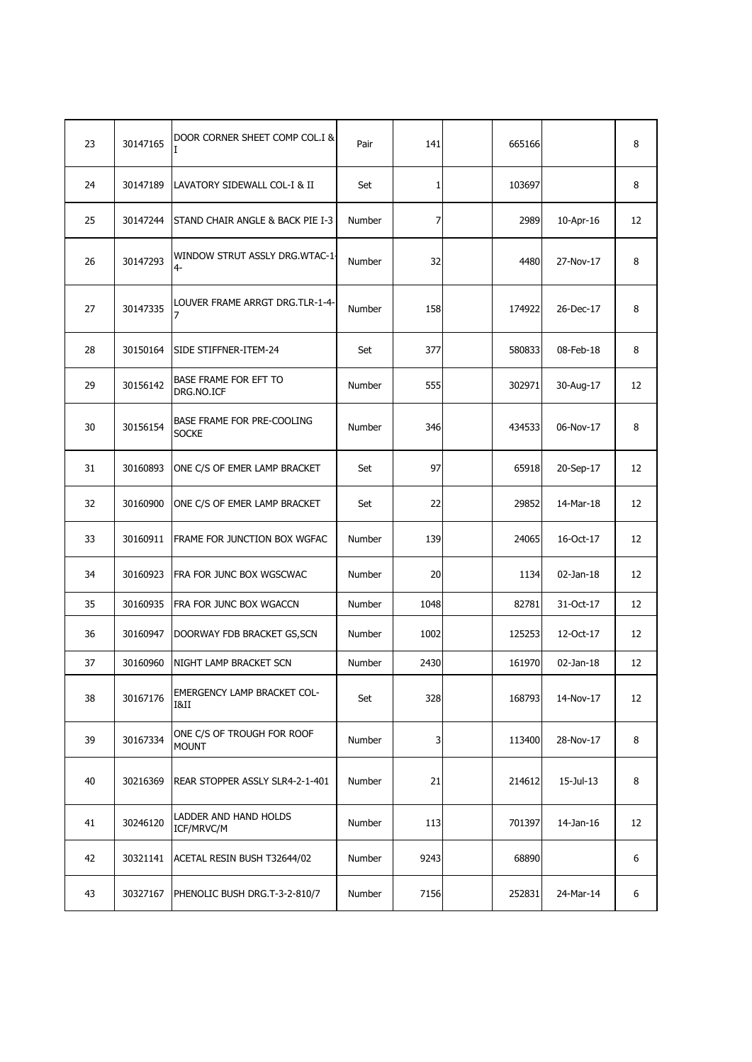| 23 | 30147165 | DOOR CORNER SHEET COMP COL.I &             | Pair   | 141          | 665166 |           | 8  |
|----|----------|--------------------------------------------|--------|--------------|--------|-----------|----|
| 24 | 30147189 | LAVATORY SIDEWALL COL-I & II               | Set    | $\mathbf{1}$ | 103697 |           | 8  |
| 25 | 30147244 | STAND CHAIR ANGLE & BACK PIE I-3           | Number | 7            | 2989   | 10-Apr-16 | 12 |
| 26 | 30147293 | WINDOW STRUT ASSLY DRG.WTAC-1-<br>4-       | Number | 32           | 4480   | 27-Nov-17 | 8  |
| 27 | 30147335 | LOUVER FRAME ARRGT DRG.TLR-1-4-            | Number | 158          | 174922 | 26-Dec-17 | 8  |
| 28 | 30150164 | SIDE STIFFNER-ITEM-24                      | Set    | 377          | 580833 | 08-Feb-18 | 8  |
| 29 | 30156142 | BASE FRAME FOR EFT TO<br>DRG.NO.ICF        | Number | 555          | 302971 | 30-Aug-17 | 12 |
| 30 | 30156154 | BASE FRAME FOR PRE-COOLING<br><b>SOCKE</b> | Number | 346          | 434533 | 06-Nov-17 | 8  |
| 31 | 30160893 | ONE C/S OF EMER LAMP BRACKET               | Set    | 97           | 65918  | 20-Sep-17 | 12 |
| 32 | 30160900 | ONE C/S OF EMER LAMP BRACKET               | Set    | 22           | 29852  | 14-Mar-18 | 12 |
| 33 | 30160911 | FRAME FOR JUNCTION BOX WGFAC               | Number | 139          | 24065  | 16-Oct-17 | 12 |
| 34 | 30160923 | FRA FOR JUNC BOX WGSCWAC                   | Number | 20           | 1134   | 02-Jan-18 | 12 |
| 35 | 30160935 | FRA FOR JUNC BOX WGACCN                    | Number | 1048         | 82781  | 31-Oct-17 | 12 |
| 36 | 30160947 | DOORWAY FDB BRACKET GS, SCN                | Number | 1002         | 125253 | 12-Oct-17 | 12 |
| 37 | 30160960 | NIGHT LAMP BRACKET SCN                     | Number | 2430         | 161970 | 02-Jan-18 | 12 |
| 38 | 30167176 | EMERGENCY LAMP BRACKET COL-<br>I&II        | Set    | 328          | 168793 | 14-Nov-17 | 12 |
| 39 | 30167334 | ONE C/S OF TROUGH FOR ROOF<br><b>MOUNT</b> | Number | 3            | 113400 | 28-Nov-17 | 8  |
| 40 | 30216369 | REAR STOPPER ASSLY SLR4-2-1-401            | Number | 21           | 214612 | 15-Jul-13 | 8  |
| 41 | 30246120 | LADDER AND HAND HOLDS<br>ICF/MRVC/M        | Number | 113          | 701397 | 14-Jan-16 | 12 |
| 42 | 30321141 | ACETAL RESIN BUSH T32644/02                | Number | 9243         | 68890  |           | 6  |
| 43 | 30327167 | PHENOLIC BUSH DRG.T-3-2-810/7              | Number | 7156         | 252831 | 24-Mar-14 | 6  |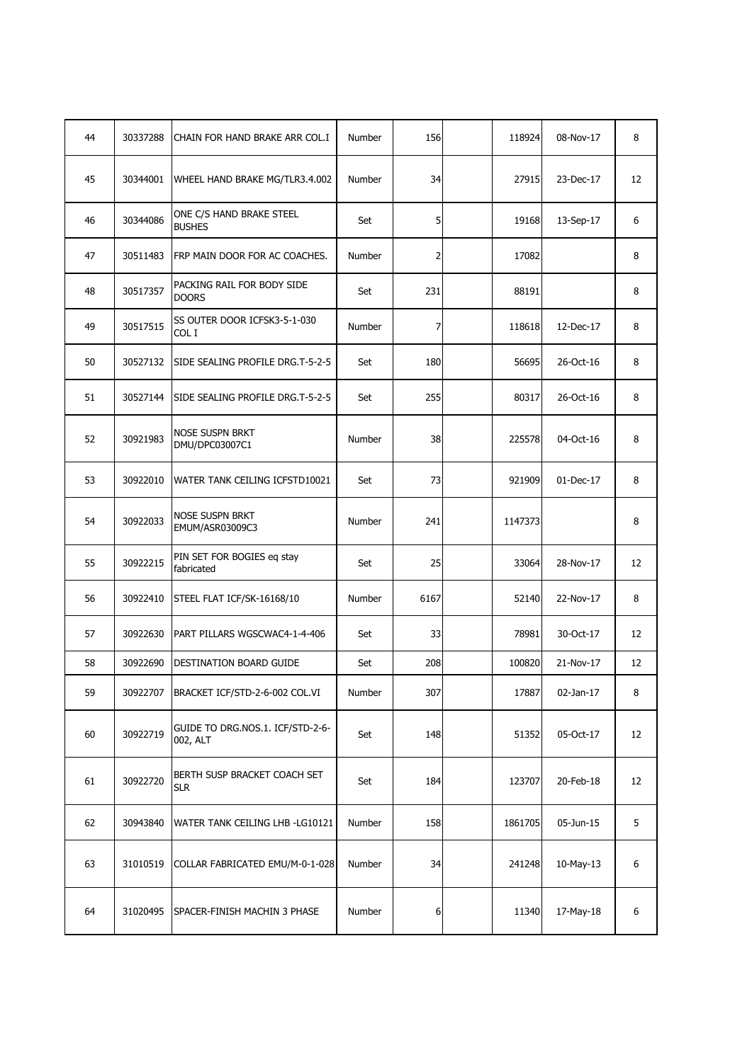| 44 | 30337288 | CHAIN FOR HAND BRAKE ARR COL.I               | Number | 156  | 118924  | 08-Nov-17 | 8  |
|----|----------|----------------------------------------------|--------|------|---------|-----------|----|
| 45 | 30344001 | WHEEL HAND BRAKE MG/TLR3.4.002               | Number | 34   | 27915   | 23-Dec-17 | 12 |
| 46 | 30344086 | ONE C/S HAND BRAKE STEEL<br><b>BUSHES</b>    | Set    | 5    | 19168   | 13-Sep-17 | 6  |
| 47 | 30511483 | FRP MAIN DOOR FOR AC COACHES.                | Number | 2    | 17082   |           | 8  |
| 48 | 30517357 | PACKING RAIL FOR BODY SIDE<br><b>DOORS</b>   | Set    | 231  | 88191   |           | 8  |
| 49 | 30517515 | SS OUTER DOOR ICFSK3-5-1-030<br>COL I        | Number | 7    | 118618  | 12-Dec-17 | 8  |
| 50 | 30527132 | SIDE SEALING PROFILE DRG.T-5-2-5             | Set    | 180  | 56695   | 26-Oct-16 | 8  |
| 51 | 30527144 | SIDE SEALING PROFILE DRG.T-5-2-5             | Set    | 255  | 80317   | 26-Oct-16 | 8  |
| 52 | 30921983 | <b>NOSE SUSPN BRKT</b><br>DMU/DPC03007C1     | Number | 38   | 225578  | 04-Oct-16 | 8  |
| 53 | 30922010 | WATER TANK CEILING ICFSTD10021               | Set    | 73   | 921909  | 01-Dec-17 | 8  |
| 54 | 30922033 | NOSE SUSPN BRKT<br>EMUM/ASR03009C3           | Number | 241  | 1147373 |           | 8  |
| 55 | 30922215 | PIN SET FOR BOGIES eq stay<br>fabricated     | Set    | 25   | 33064   | 28-Nov-17 | 12 |
| 56 | 30922410 | STEEL FLAT ICF/SK-16168/10                   | Number | 6167 | 52140   | 22-Nov-17 | 8  |
| 57 | 30922630 | PART PILLARS WGSCWAC4-1-4-406                | Set    | 33   | 78981   | 30-Oct-17 | 12 |
| 58 | 30922690 | DESTINATION BOARD GUIDE                      | Set    | 208  | 100820  | 21-Nov-17 | 12 |
| 59 | 30922707 | BRACKET ICF/STD-2-6-002 COL.VI               | Number | 307  | 17887   | 02-Jan-17 | 8  |
| 60 | 30922719 | GUIDE TO DRG.NOS.1. ICF/STD-2-6-<br>002, ALT | Set    | 148  | 51352   | 05-Oct-17 | 12 |
| 61 | 30922720 | BERTH SUSP BRACKET COACH SET<br><b>SLR</b>   | Set    | 184  | 123707  | 20-Feb-18 | 12 |
| 62 | 30943840 | WATER TANK CEILING LHB - LG10121             | Number | 158  | 1861705 | 05-Jun-15 | 5  |
| 63 | 31010519 | COLLAR FABRICATED EMU/M-0-1-028              | Number | 34   | 241248  | 10-May-13 | 6  |
| 64 | 31020495 | SPACER-FINISH MACHIN 3 PHASE                 | Number | 6    | 11340   | 17-May-18 | 6  |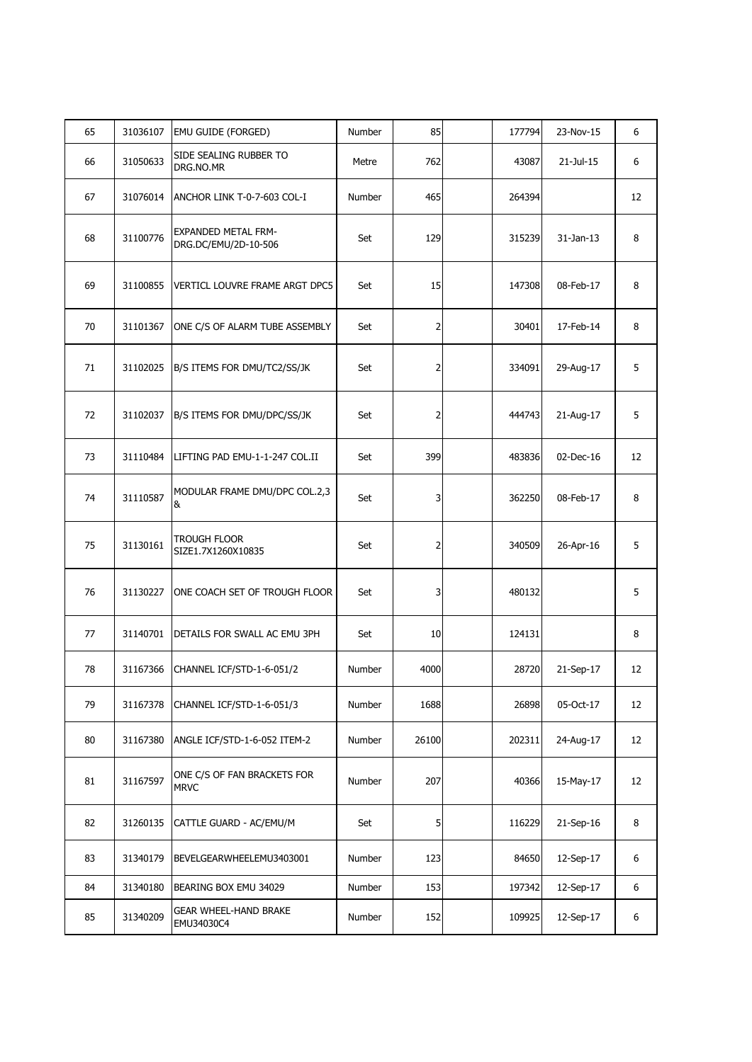| 65 | 31036107 | <b>EMU GUIDE (FORGED)</b>                          | <b>Number</b> | 85    | 177794 | 23-Nov-15    | 6  |  |
|----|----------|----------------------------------------------------|---------------|-------|--------|--------------|----|--|
| 66 | 31050633 | SIDE SEALING RUBBER TO<br>DRG.NO.MR                | Metre         | 762   | 43087  | 21-Jul-15    | 6  |  |
| 67 | 31076014 | ANCHOR LINK T-0-7-603 COL-I                        | Number        | 465   | 264394 |              | 12 |  |
| 68 | 31100776 | <b>EXPANDED METAL FRM-</b><br>DRG.DC/EMU/2D-10-506 | Set           | 129   | 315239 | $31$ -Jan-13 | 8  |  |
| 69 | 31100855 | VERTICL LOUVRE FRAME ARGT DPC5                     | Set           | 15    | 147308 | 08-Feb-17    | 8  |  |
| 70 | 31101367 | ONE C/S OF ALARM TUBE ASSEMBLY                     | Set           | 2     | 30401  | 17-Feb-14    | 8  |  |
| 71 | 31102025 | B/S ITEMS FOR DMU/TC2/SS/JK                        | Set           | 2     | 334091 | 29-Aug-17    | 5  |  |
| 72 | 31102037 | B/S ITEMS FOR DMU/DPC/SS/JK                        | Set           | 2     | 444743 | 21-Aug-17    | 5  |  |
| 73 | 31110484 | LIFTING PAD EMU-1-1-247 COL.II                     | Set           | 399   | 483836 | 02-Dec-16    | 12 |  |
| 74 | 31110587 | MODULAR FRAME DMU/DPC COL.2,3<br>&                 | Set           | 3     | 362250 | 08-Feb-17    | 8  |  |
| 75 | 31130161 | <b>TROUGH FLOOR</b><br>SIZE1.7X1260X10835          | Set           | 2     | 340509 | 26-Apr-16    | 5  |  |
| 76 | 31130227 | ONE COACH SET OF TROUGH FLOOR                      | Set           | 3     | 480132 |              | 5  |  |
| 77 | 31140701 | DETAILS FOR SWALL AC EMU 3PH                       | Set           | 10    | 124131 |              | 8  |  |
| 78 | 31167366 | CHANNEL ICF/STD-1-6-051/2                          | Number        | 4000  | 28720  | 21-Sep-17    | 12 |  |
| 79 | 31167378 | CHANNEL ICF/STD-1-6-051/3                          | Number        | 1688  | 26898  | 05-Oct-17    | 12 |  |
| 80 | 31167380 | ANGLE ICF/STD-1-6-052 ITEM-2                       | Number        | 26100 | 202311 | 24-Aug-17    | 12 |  |
| 81 | 31167597 | ONE C/S OF FAN BRACKETS FOR<br><b>MRVC</b>         | Number        | 207   | 40366  | 15-May-17    | 12 |  |
| 82 | 31260135 | CATTLE GUARD - AC/EMU/M                            | Set           | 5     | 116229 | 21-Sep-16    | 8  |  |
| 83 | 31340179 | BEVELGEARWHEELEMU3403001                           | Number        | 123   | 84650  | 12-Sep-17    | 6  |  |
| 84 | 31340180 | BEARING BOX EMU 34029                              | Number        | 153   | 197342 | 12-Sep-17    | 6  |  |
| 85 | 31340209 | <b>GEAR WHEEL-HAND BRAKE</b><br>EMU34030C4         | Number        | 152   | 109925 | 12-Sep-17    | 6  |  |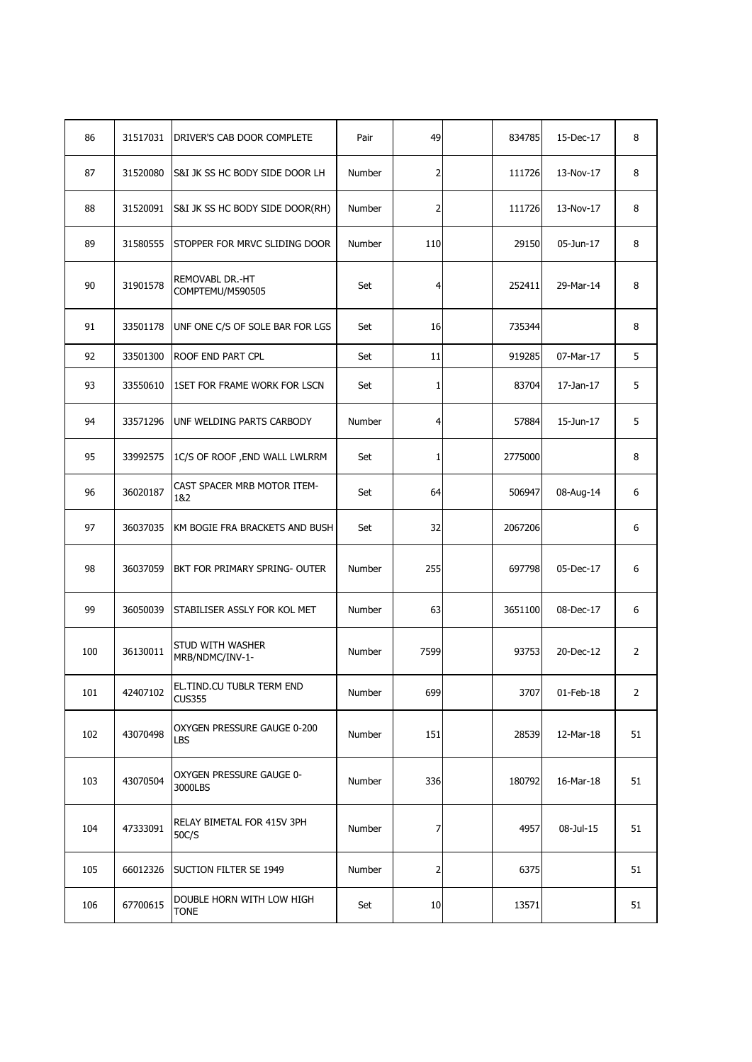| 86  | 31517031 | DRIVER'S CAB DOOR COMPLETE                 | Pair   | 49   | 834785  | 15-Dec-17    | 8              |
|-----|----------|--------------------------------------------|--------|------|---------|--------------|----------------|
| 87  | 31520080 | S&I JK SS HC BODY SIDE DOOR LH             | Number | 2    | 111726  | 13-Nov-17    | 8              |
| 88  | 31520091 | S&I JK SS HC BODY SIDE DOOR(RH)            | Number | 2    | 111726  | 13-Nov-17    | 8              |
| 89  | 31580555 | STOPPER FOR MRVC SLIDING DOOR              | Number | 110  | 29150   | 05-Jun-17    | 8              |
| 90  | 31901578 | REMOVABL DR.-HT<br>COMPTEMU/M590505        | Set    | 4    | 252411  | 29-Mar-14    | 8              |
| 91  | 33501178 | UNF ONE C/S OF SOLE BAR FOR LGS            | Set    | 16   | 735344  |              | 8              |
| 92  | 33501300 | ROOF END PART CPL                          | Set    | 11   | 919285  | 07-Mar-17    | 5              |
| 93  | 33550610 | 1SET FOR FRAME WORK FOR LSCN               | Set    | 1    | 83704   | 17-Jan-17    | 5              |
| 94  | 33571296 | UNF WELDING PARTS CARBODY                  | Number | 4    | 57884   | 15-Jun-17    | 5              |
| 95  | 33992575 | 1C/S OF ROOF, END WALL LWLRRM              | Set    | 1    | 2775000 |              | 8              |
| 96  | 36020187 | CAST SPACER MRB MOTOR ITEM-<br>1&2         | Set    | 64   | 506947  | 08-Aug-14    | 6              |
| 97  | 36037035 | KM BOGIE FRA BRACKETS AND BUSH             | Set    | 32   | 2067206 |              | 6              |
| 98  | 36037059 | BKT FOR PRIMARY SPRING- OUTER              | Number | 255  | 697798  | 05-Dec-17    | 6              |
| 99  | 36050039 | STABILISER ASSLY FOR KOL MET               | Number | 63   | 3651100 | 08-Dec-17    | 6              |
| 100 | 36130011 | STUD WITH WASHER<br>MRB/NDMC/INV-1-        | Number | 7599 | 93753   | 20-Dec-12    | 2              |
| 101 | 42407102 | EL.TIND.CU TUBLR TERM END<br><b>CUS355</b> | Number | 699  | 3707    | $01$ -Feb-18 | $\overline{2}$ |
| 102 | 43070498 | OXYGEN PRESSURE GAUGE 0-200<br>LBS         | Number | 151  | 28539   | 12-Mar-18    | 51             |
| 103 | 43070504 | OXYGEN PRESSURE GAUGE 0-<br>3000LBS        | Number | 336  | 180792  | 16-Mar-18    | 51             |
| 104 | 47333091 | RELAY BIMETAL FOR 415V 3PH<br>50C/S        | Number | 7    | 4957    | 08-Jul-15    | 51             |
| 105 | 66012326 | SUCTION FILTER SE 1949                     | Number | 2    | 6375    |              | 51             |
| 106 | 67700615 | DOUBLE HORN WITH LOW HIGH<br><b>TONE</b>   | Set    | 10   | 13571   |              | 51             |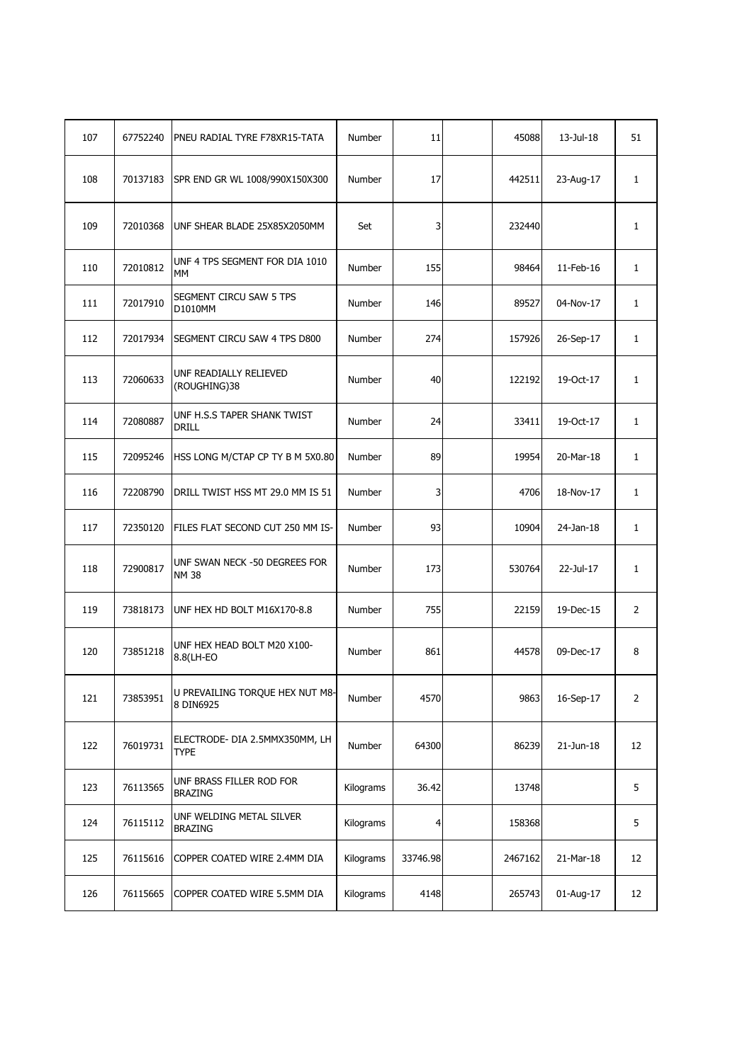| 107 | 67752240 | PNEU RADIAL TYRE F78XR15-TATA                 | Number        | 11       | 45088   | 13-Jul-18       | 51             |
|-----|----------|-----------------------------------------------|---------------|----------|---------|-----------------|----------------|
| 108 | 70137183 | SPR END GR WL 1008/990X150X300                | Number        | 17       | 442511  | 23-Aug-17       | $\mathbf{1}$   |
| 109 | 72010368 | UNF SHEAR BLADE 25X85X2050MM                  | Set           | 3        | 232440  |                 | $\mathbf{1}$   |
| 110 | 72010812 | UNF 4 TPS SEGMENT FOR DIA 1010<br>МM          | Number        | 155      | 98464   | 11-Feb-16       | 1              |
| 111 | 72017910 | SEGMENT CIRCU SAW 5 TPS<br>D1010MM            | Number        | 146      | 89527   | 04-Nov-17       | $\mathbf{1}$   |
| 112 | 72017934 | SEGMENT CIRCU SAW 4 TPS D800                  | <b>Number</b> | 274      | 157926  | 26-Sep-17       | $\mathbf{1}$   |
| 113 | 72060633 | UNF READIALLY RELIEVED<br>(ROUGHING)38        | Number        | 40       | 122192  | 19-Oct-17       | 1              |
| 114 | 72080887 | UNF H.S.S TAPER SHANK TWIST<br>DRILL          | Number        | 24       | 33411   | 19-Oct-17       | $\mathbf{1}$   |
| 115 | 72095246 | HSS LONG M/CTAP CP TY B M 5X0.80              | Number        | 89       | 19954   | 20-Mar-18       | $\mathbf{1}$   |
| 116 | 72208790 | DRILL TWIST HSS MT 29.0 MM IS 51              | <b>Number</b> | 3        | 4706    | 18-Nov-17       | $\mathbf{1}$   |
| 117 | 72350120 | FILES FLAT SECOND CUT 250 MM IS-              | Number        | 93       | 10904   | 24-Jan-18       | 1              |
| 118 | 72900817 | UNF SWAN NECK -50 DEGREES FOR<br><b>NM 38</b> | Number        | 173      | 530764  | 22-Jul-17       | 1              |
| 119 | 73818173 | UNF HEX HD BOLT M16X170-8.8                   | Number        | 755      | 22159   | 19-Dec-15       | 2              |
| 120 | 73851218 | UNF HEX HEAD BOLT M20 X100-<br>8.8(LH-EO      | <b>Number</b> | 861      | 44578   | 09-Dec-17       | 8              |
| 121 | 73853951 | U PREVAILING TORQUE HEX NUT M8-<br>8 DIN6925  | Number        | 4570     | 9863    | 16-Sep-17       | $\overline{2}$ |
| 122 | 76019731 | ELECTRODE- DIA 2.5MMX350MM, LH<br><b>TYPE</b> | Number        | 64300    | 86239   | $21$ -Jun- $18$ | 12             |
| 123 | 76113565 | UNF BRASS FILLER ROD FOR<br><b>BRAZING</b>    | Kilograms     | 36.42    | 13748   |                 | 5              |
| 124 | 76115112 | UNF WELDING METAL SILVER<br><b>BRAZING</b>    | Kilograms     | 4        | 158368  |                 | 5              |
| 125 | 76115616 | COPPER COATED WIRE 2.4MM DIA                  | Kilograms     | 33746.98 | 2467162 | 21-Mar-18       | 12             |
| 126 | 76115665 | COPPER COATED WIRE 5.5MM DIA                  | Kilograms     | 4148     | 265743  | 01-Aug-17       | 12             |